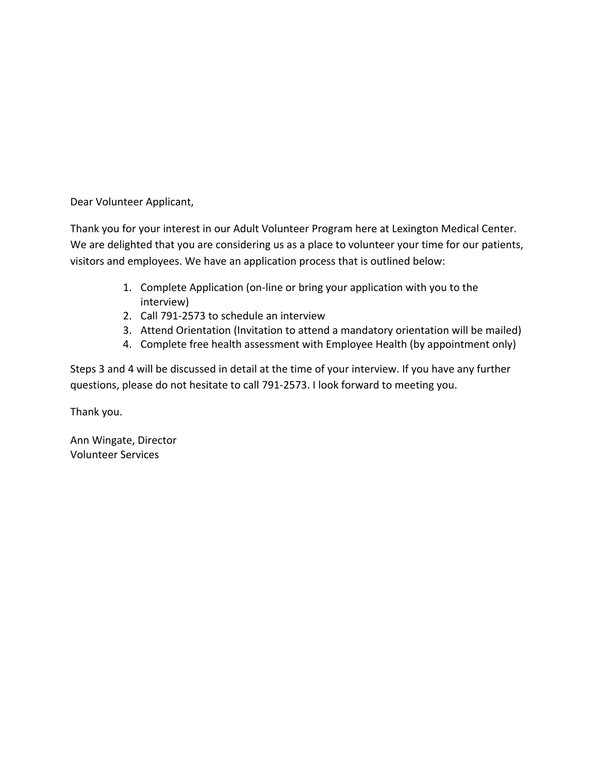Dear Volunteer Applicant,

Thank you for your interest in our Adult Volunteer Program here at Lexington Medical Center. We are delighted that you are considering us as a place to volunteer your time for our patients, visitors and employees. We have an application process that is outlined below:

- 1. Complete Application (on-line or bring your application with you to the interview)
- 2. Call 791-2573 to schedule an interview
- 3. Attend Orientation (Invitation to attend a mandatory orientation will be mailed)
- 4. Complete free health assessment with Employee Health (by appointment only)

Steps 3 and 4 will be discussed in detail at the time of your interview. If you have any further questions, please do not hesitate to call 791-2573. I look forward to meeting you.

Thank you.

Ann Wingate, Director Volunteer Services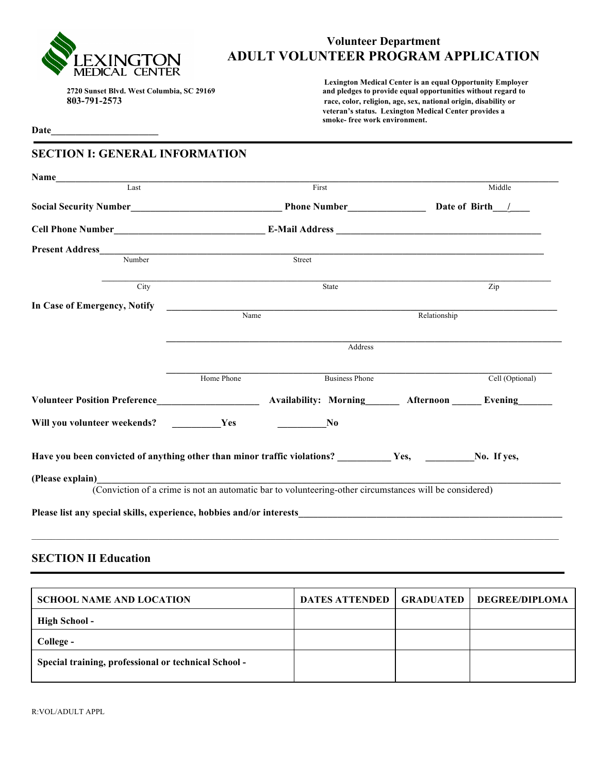

**Date\_\_\_\_\_\_\_\_\_\_\_\_\_\_\_\_\_\_\_\_\_\_**

# **Volunteer Department ADULT VOLUNTEER PROGRAM APPLICATION**

 **Lexington Medical Center is an equal Opportunity Employer 2720 Sunset Blvd. West Columbia, SC 29169 and pledges to provide equal opportunities without regard to 803-791-2573 race, color, religion, age, sex, national origin, disability or veteran's status. Lexington Medical Center provides a smoke- free work environment.** 

### **SECTION I: GENERAL INFORMATION**

| Name<br>Last                                                                                                    |                     | First                                                                                                  |              | Middle          |  |
|-----------------------------------------------------------------------------------------------------------------|---------------------|--------------------------------------------------------------------------------------------------------|--------------|-----------------|--|
|                                                                                                                 |                     |                                                                                                        |              |                 |  |
|                                                                                                                 |                     |                                                                                                        |              |                 |  |
|                                                                                                                 |                     |                                                                                                        |              |                 |  |
|                                                                                                                 |                     |                                                                                                        |              |                 |  |
| Number                                                                                                          |                     | Street                                                                                                 |              |                 |  |
| City                                                                                                            |                     | State                                                                                                  |              | Zip             |  |
| In Case of Emergency, Notify                                                                                    |                     |                                                                                                        |              |                 |  |
|                                                                                                                 | $\blacksquare$ Name |                                                                                                        | Relationship |                 |  |
|                                                                                                                 | Address             |                                                                                                        |              |                 |  |
|                                                                                                                 | Home Phone          | <b>Business Phone</b>                                                                                  |              | Cell (Optional) |  |
| Volunteer Position Preference Availability: Morning Afternoon Evening                                           |                     |                                                                                                        |              |                 |  |
| Will you volunteer weekends? Yes                                                                                |                     | No                                                                                                     |              |                 |  |
| Have you been convicted of anything other than minor traffic violations? ____________Yes, __________No. If yes, |                     |                                                                                                        |              |                 |  |
|                                                                                                                 |                     |                                                                                                        |              |                 |  |
|                                                                                                                 |                     | (Conviction of a crime is not an automatic bar to volunteering-other circumstances will be considered) |              |                 |  |
|                                                                                                                 |                     |                                                                                                        |              |                 |  |
|                                                                                                                 |                     |                                                                                                        |              |                 |  |

# **SECTION II Education**

| <b>SCHOOL NAME AND LOCATION</b>                      | <b>DATES ATTENDED   GRADUATED  </b> | <b>DEGREE/DIPLOMA</b> |
|------------------------------------------------------|-------------------------------------|-----------------------|
| High School -                                        |                                     |                       |
| College -                                            |                                     |                       |
| Special training, professional or technical School - |                                     |                       |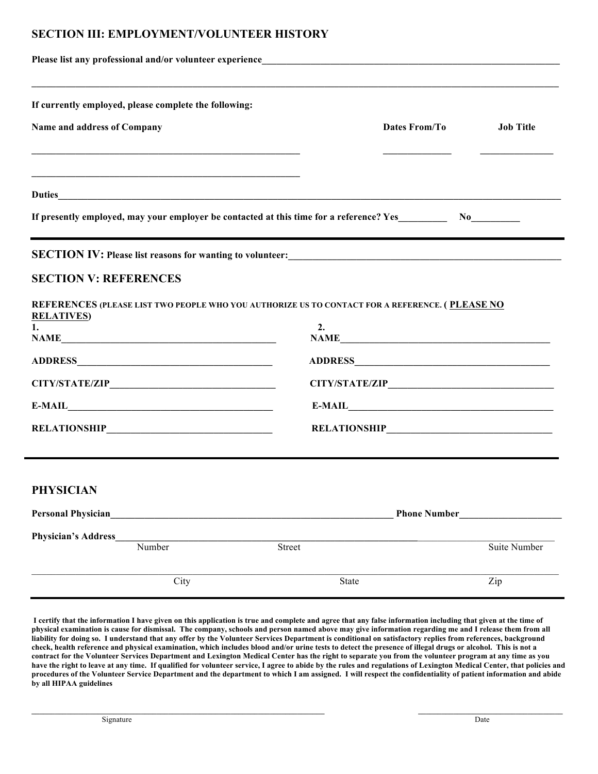# **SECTION III: EMPLOYMENT/VOLUNTEER HISTORY**

| If currently employed, please complete the following:<br>Dates From/To<br><b>Job Title</b><br>If presently employed, may your employer be contacted at this time for a reference? Yes No<br>No<br>and the control of the control of the control of the control of the control of the control of the control of the<br>SECTION IV: Please list reasons for wanting to volunteer:<br><u>SECTION IV: Please list reasons for wanting to volunteer:</u><br>REFERENCES (PLEASE LIST TWO PEOPLE WHO YOU AUTHORIZE US TO CONTACT FOR A REFERENCE. (PLEASE NO<br>2.<br>NAME<br><b>Phone Number</b><br>Number<br>Street |                                                                    |       |                     |
|----------------------------------------------------------------------------------------------------------------------------------------------------------------------------------------------------------------------------------------------------------------------------------------------------------------------------------------------------------------------------------------------------------------------------------------------------------------------------------------------------------------------------------------------------------------------------------------------------------------|--------------------------------------------------------------------|-------|---------------------|
|                                                                                                                                                                                                                                                                                                                                                                                                                                                                                                                                                                                                                |                                                                    |       |                     |
|                                                                                                                                                                                                                                                                                                                                                                                                                                                                                                                                                                                                                | Name and address of Company                                        |       |                     |
|                                                                                                                                                                                                                                                                                                                                                                                                                                                                                                                                                                                                                |                                                                    |       |                     |
|                                                                                                                                                                                                                                                                                                                                                                                                                                                                                                                                                                                                                |                                                                    |       |                     |
|                                                                                                                                                                                                                                                                                                                                                                                                                                                                                                                                                                                                                | <b>SECTION V: REFERENCES</b><br><b>RELATIVES</b><br>1 <sub>1</sub> |       |                     |
|                                                                                                                                                                                                                                                                                                                                                                                                                                                                                                                                                                                                                |                                                                    |       |                     |
|                                                                                                                                                                                                                                                                                                                                                                                                                                                                                                                                                                                                                |                                                                    |       |                     |
|                                                                                                                                                                                                                                                                                                                                                                                                                                                                                                                                                                                                                |                                                                    |       |                     |
|                                                                                                                                                                                                                                                                                                                                                                                                                                                                                                                                                                                                                | <b>PHYSICIAN</b>                                                   |       |                     |
|                                                                                                                                                                                                                                                                                                                                                                                                                                                                                                                                                                                                                | <b>Personal Physician</b>                                          |       |                     |
|                                                                                                                                                                                                                                                                                                                                                                                                                                                                                                                                                                                                                | <b>Physician's Address</b>                                         |       | <b>Suite Number</b> |
|                                                                                                                                                                                                                                                                                                                                                                                                                                                                                                                                                                                                                | City                                                               | State | Zip                 |

**I certify that the information I have given on this application is true and complete and agree that any false information including that given at the time of physical examination is cause for dismissal. The company, schools and person named above may give information regarding me and I release them from all liability for doing so. I understand that any offer by the Volunteer Services Department is conditional on satisfactory replies from references, background check, health reference and physical examination, which includes blood and/or urine tests to detect the presence of illegal drugs or alcohol. This is not a contract for the Volunteer Services Department and Lexington Medical Center has the right to separate you from the volunteer program at any time as you**  have the right to leave at any time. If qualified for volunteer service, I agree to abide by the rules and regulations of Lexington Medical Center, that policies and **procedures of the Volunteer Service Department and the department to which I am assigned. I will respect the confidentiality of patient information and abide by all HIPAA guidelines**

**\_\_\_\_\_\_\_\_\_\_\_\_\_\_\_\_\_\_\_\_\_\_\_\_\_\_\_\_\_\_\_\_\_\_\_\_\_\_\_\_\_\_\_\_\_\_\_\_\_\_\_\_\_\_\_\_\_\_\_\_\_\_\_\_\_\_\_\_\_\_\_\_\_\_\_ \_\_\_\_\_\_\_\_\_\_\_\_\_\_\_\_\_\_\_\_\_\_\_\_\_\_\_\_\_\_\_\_\_\_\_\_\_**